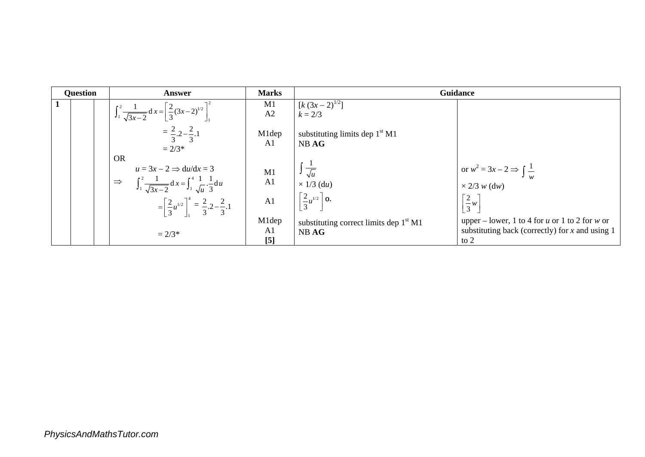| <b>Question</b> | Answer                                                                                                                                                                                                                              | <b>Marks</b>          | Guidance                                                                               |                                                                                                               |  |
|-----------------|-------------------------------------------------------------------------------------------------------------------------------------------------------------------------------------------------------------------------------------|-----------------------|----------------------------------------------------------------------------------------|---------------------------------------------------------------------------------------------------------------|--|
| 1               | $\int_1^2 \frac{1}{\sqrt{3x-2}} dx = \left[\frac{2}{3}(3x-2)^{1/2}\right]_1^2$                                                                                                                                                      | M1<br>A2              | $[k(3x-2)^{1/2}]$<br>$k = 2/3$                                                         |                                                                                                               |  |
|                 | $=\frac{2}{3} \cdot 2 - \frac{2}{3} \cdot 1$<br>$= 2/3*$                                                                                                                                                                            | M1dep<br>A1           | substituting limits dep $1st M1$<br>NB AG                                              |                                                                                                               |  |
|                 | <b>OR</b><br>$u = 3x - 2 \implies du/dx = 3$<br>$\int_1^2 \frac{1}{\sqrt{3x-2}} dx = \int_1^4 \frac{1}{\sqrt{u}} \cdot \frac{1}{3} du$<br>$\Rightarrow$<br>$=\left[\frac{2}{3}u^{1/2}\right]^4=\frac{2}{3}\cdot2-\frac{2}{3}\cdot1$ | $\frac{M1}{A1}$<br>A1 | $\int \frac{1}{\sqrt{u}}$<br>$\times$ 1/3 (du)<br>$\left[\frac{2}{3}u^{1/2}\right]$ 0. | or $w^2 = 3x - 2 \Rightarrow \int \frac{1}{w}$<br>$\times$ 2/3 w (dw)<br>$\left[\frac{2}{3}w\right]$          |  |
|                 | $= 2/3*$                                                                                                                                                                                                                            | M1dep<br>A1<br>[5]    | substituting correct limits dep $1st M1$<br>NB AG                                      | upper – lower, 1 to 4 for u or 1 to 2 for w or<br>substituting back (correctly) for $x$ and using 1<br>to $2$ |  |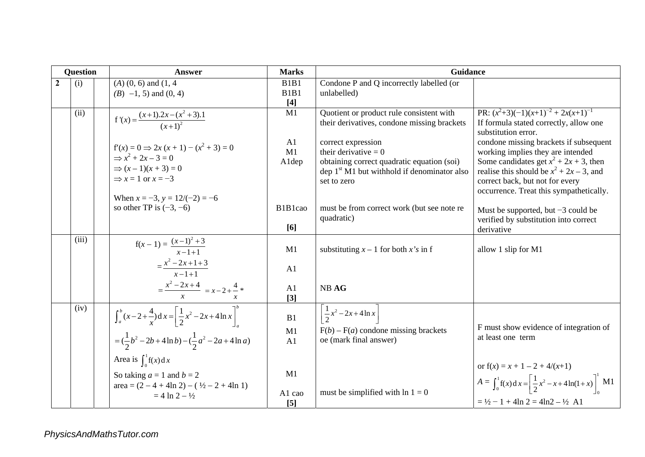| <b>Question</b>  |       | <b>Answer</b>                                                                     | <b>Marks</b>                  | <b>Guidance</b>                               |                                                                                         |
|------------------|-------|-----------------------------------------------------------------------------------|-------------------------------|-----------------------------------------------|-----------------------------------------------------------------------------------------|
| $\boldsymbol{2}$ | (i)   | $(A)$ $(0, 6)$ and $(1, 4)$                                                       | B <sub>1</sub> B <sub>1</sub> | Condone P and Q incorrectly labelled (or      |                                                                                         |
|                  |       | $(B)$ -1, 5) and $(0, 4)$                                                         | B <sub>1</sub> B <sub>1</sub> | unlabelled)                                   |                                                                                         |
|                  |       |                                                                                   | $[4]$                         |                                               |                                                                                         |
|                  | (ii)  | $f'(x) = \frac{(x+1) \cdot 2x - (x^2+3) \cdot 1}{(x+1)^2}$                        | M1                            | Quotient or product rule consistent with      | PR: $(x^2+3)(-1)(x+1)^{-2} + 2x(x+1)^{-1}$                                              |
|                  |       |                                                                                   |                               | their derivatives, condone missing brackets   | If formula stated correctly, allow one<br>substitution error.                           |
|                  |       |                                                                                   | A1                            | correct expression                            | condone missing brackets if subsequent                                                  |
|                  |       | $f'(x) = 0 \implies 2x(x + 1) - (x^2 + 3) = 0$                                    | M1                            | their derivative $= 0$                        | working implies they are intended                                                       |
|                  |       | $\Rightarrow x^2 + 2x - 3 = 0$                                                    | Aldep                         | obtaining correct quadratic equation (soi)    | Some candidates get $x^2 + 2x + 3$ , then                                               |
|                  |       | $\Rightarrow (x-1)(x+3) = 0$                                                      |                               | dep $1st M1$ but withhold if denominator also | realise this should be $x^2 + 2x - 3$ , and                                             |
|                  |       | $\Rightarrow$ x = 1 or x = -3                                                     |                               | set to zero                                   | correct back, but not for every                                                         |
|                  |       | When $x = -3$ , $y = 12/(-2) = -6$                                                |                               |                                               | occurrence. Treat this sympathetically.                                                 |
|                  |       | so other TP is $(-3, -6)$                                                         | B1B1cao                       | must be from correct work (but see note re    | Must be supported, but $-3$ could be                                                    |
|                  |       |                                                                                   |                               | quadratic)                                    | verified by substitution into correct                                                   |
|                  |       |                                                                                   | [6]                           |                                               | derivative                                                                              |
|                  | (iii) |                                                                                   |                               |                                               |                                                                                         |
|                  |       | $f(x-1) = \frac{(x-1)^2+3}{x-1+1}$                                                | M1                            | substituting $x - 1$ for both x's in f        | allow 1 slip for M1                                                                     |
|                  |       | $=\frac{x^2-2x+1+3}{x-1+1}$                                                       |                               |                                               |                                                                                         |
|                  |       |                                                                                   | A1                            |                                               |                                                                                         |
|                  |       | $=\frac{x^2-2x+4}{x}$ = $x-2+\frac{4}{x}$ *                                       | A1                            | NB AG                                         |                                                                                         |
|                  |       |                                                                                   | $\lceil 3 \rceil$             |                                               |                                                                                         |
|                  | (iv)  | $\int_a^b (x-2+\frac{4}{x}) dx = \left[ \frac{1}{2} x^2 - 2x + 4 \ln x \right]^b$ |                               | $\frac{1}{2}x^2 - 2x + 4\ln x$                |                                                                                         |
|                  |       |                                                                                   | B1                            |                                               |                                                                                         |
|                  |       |                                                                                   | M1                            | $F(b) - F(a)$ condone missing brackets        | F must show evidence of integration of<br>at least one term                             |
|                  |       | $=(\frac{1}{2}b^2-2b+4\ln b)-(\frac{1}{2}a^2-2a+4\ln a)$                          | A1                            | oe (mark final answer)                        |                                                                                         |
|                  |       | Area is $\int_{0}^{1} f(x) dx$                                                    |                               |                                               |                                                                                         |
|                  |       |                                                                                   | M1                            |                                               | or $f(x) = x + 1 - 2 + 4/(x+1)$                                                         |
|                  |       | So taking $a = 1$ and $b = 2$                                                     |                               |                                               | $A = \int_0^1 f(x) dx = \left[ \frac{1}{2} x^2 - x + 4 \ln(1+x) \right]_0^1 \text{ M1}$ |
|                  |       | $area = (2 - 4 + 4ln 2) - (1/2 - 2 + 4ln 1)$<br>$= 4 \ln 2 - \frac{1}{2}$         | A1 cao                        | must be simplified with $\ln 1 = 0$           |                                                                                         |
|                  |       |                                                                                   | $[5]$                         |                                               | $= \frac{1}{2} - 1 + 4\ln 2 = 4\ln 2 - \frac{1}{2}$ A1                                  |